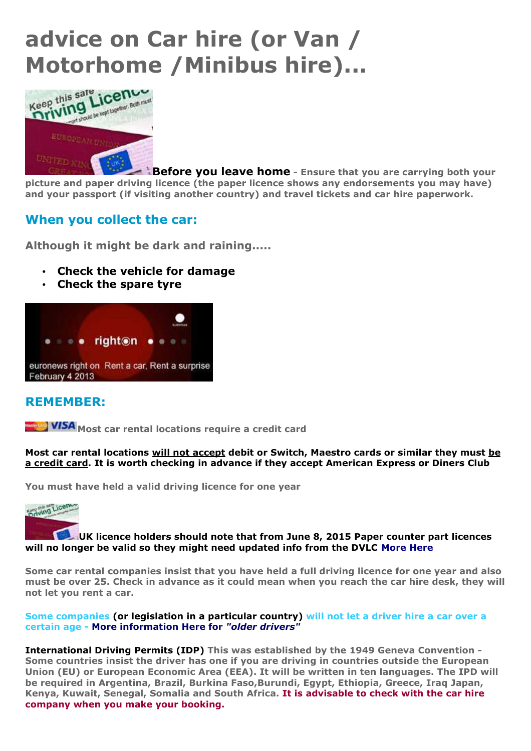# **advice on Car hire (or Van / Motorhome /Minibus hire)...**



**Before you leave home - Ensure that you are carrying both your picture and paper driving licence (the paper licence shows any endorsements you may have) and your passport (if visiting another country) and travel tickets and car hire paperwork.** 

## **When you collect the car:**

**Although it might be dark and raining.....**

- **Check the vehicle for damage**
- **Check the spare tyre**



## **REMEMBER:**

**MSA** Most car rental locations require a credit card

**Most car rental locations will not accept debit or Switch, Maestro cards or similar they must be a credit card. It is worth checking in advance if they accept American Express or Diners Club**

**You must have held a valid driving licence for one year**



#### **UK licence holders should note that from June 8, 2015 Paper counter part licences will no longer be valid so they might need updated info from the DVLC More Here**

**Some car rental companies insist that you have held a full driving licence for one year and also must be over 25. Check in advance as it could mean when you reach the car hire desk, they will not let you rent a car.**

#### **Some companies (or legislation in a particular country) will not let a driver hire a car over a certain age - More information Here for** *"older drivers"*

**International Driving Permits (IDP) This was established by the 1949 Geneva Convention - Some countries insist the driver has one if you are driving in countries outside the European Union (EU) or European Economic Area (EEA). It will be written in ten languages. The IPD will be required in Argentina, Brazil, Burkina Faso,Burundi, Egypt, Ethiopia, Greece, Iraq Japan, Kenya, Kuwait, Senegal, Somalia and South Africa. It is advisable to check with the car hire company when you make your booking.**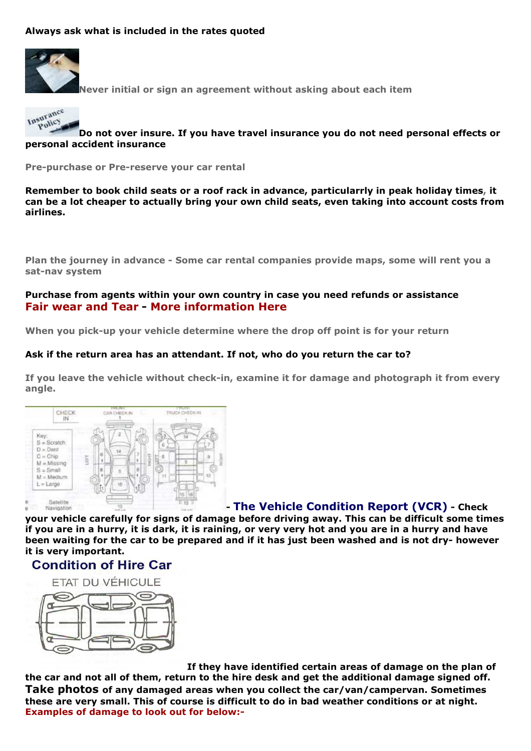#### **Always ask what is included in the rates quoted**



**Never initial or sign an agreement without asking about each item**



**Do not over insure. If you have travel insurance you do not need personal effects or personal accident insurance**

**Pre-purchase or Pre-reserve your car rental**

**Remember to book child seats or a roof rack in advance, particularrly in peak holiday times, it can be a lot cheaper to actually bring your own child seats, even taking into account costs from airlines.**

**Plan the journey in advance - Some car rental companies provide maps, some will rent you a sat-nav system**

#### **Purchase from agents within your own country in case you need refunds or assistance Fair wear and Tear - More information Here**

**When you pick-up your vehicle determine where the drop off point is for your return**

#### **Ask if the return area has an attendant. If not, who do you return the car to?**

**If you leave the vehicle without check-in, examine it for damage and photograph it from every angle.**



### **- The Vehicle Condition Report (VCR) - Check**

**your vehicle carefully for signs of damage before driving away. This can be difficult some times if you are in a hurry, it is dark, it is raining, or very very hot and you are in a hurry and have been waiting for the car to be prepared and if it has just been washed and is not dry- however it is very important.**

## **Condition of Hire Car**



**If they have identified certain areas of damage on the plan of the car and not all of them, return to the hire desk and get the additional damage signed off. Take photos of any damaged areas when you collect the car/van/campervan. Sometimes these are very small. This of course is difficult to do in bad weather conditions or at night. Examples of damage to look out for below:-**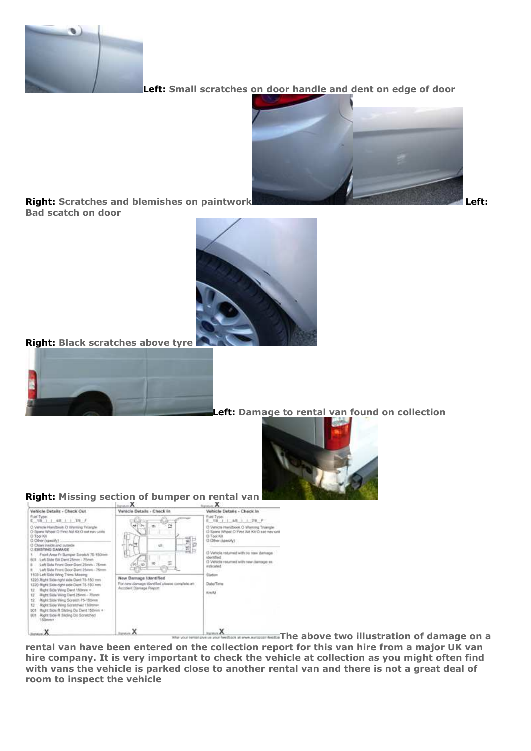

**Left: Small scratches on door handle and dent on edge of door**



**Right:** Scratches and blemishes on paintwork Left: *Left:* **Left: Left: Bad scatch on door**



**Right: Black scratches above tyre** 



**Left: Damage to rental van found on collection**





**The above two illustration of damage on a** After sever instead a **rental van have been entered on the collection report for this van hire from a major UK van hire company. It is very important to check the vehicle at collection as you might often find with vans the vehicle is parked close to another rental van and there is not a great deal of room to inspect the vehicle**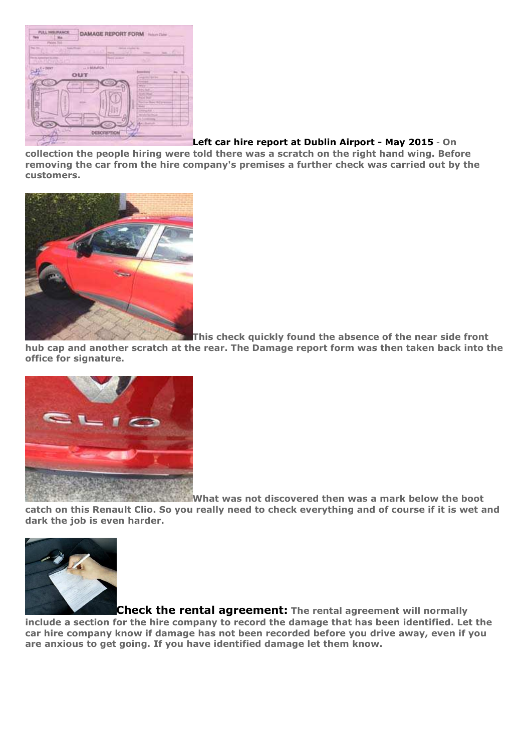

**Left car hire report at Dublin Airport - May 2015** - **On** 

**collection the people hiring were told there was a scratch on the right hand wing. Before removing the car from the hire company's premises a further check was carried out by the customers.**



**This check quickly found the absence of the near side front** 

**hub cap and another scratch at the rear. The Damage report form was then taken back into the office for signature.**



**What was not discovered then was a mark below the boot catch on this Renault Clio. So you really need to check everything and of course if it is wet and dark the job is even harder.**



**Check the rental agreement: The rental agreement will normally include a section for the hire company to record the damage that has been identified. Let the car hire company know if damage has not been recorded before you drive away, even if you are anxious to get going. If you have identified damage let them know.**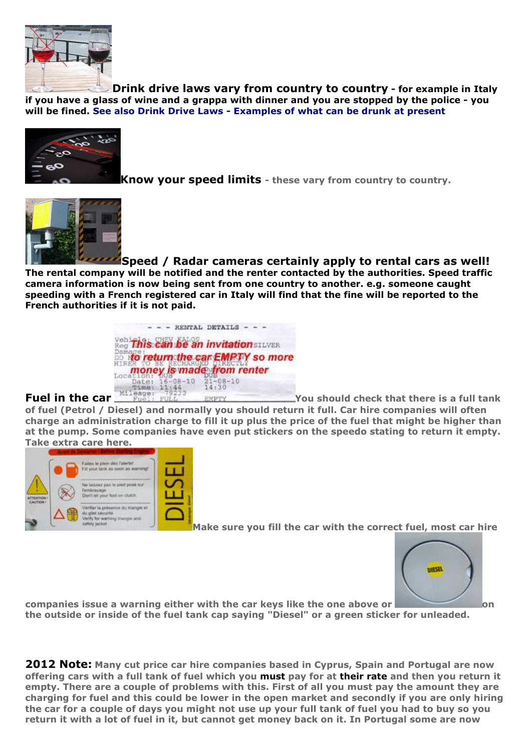

**Drink drive laws vary from country to country - for example in Italy if you have a glass of wine and a grappa with dinner and you are stopped by the police - you will be fined. See also Drink Drive Laws - Examples of what can be drunk at present** 



**Know your speed limits - these vary from country to country.**



**Speed / Radar cameras certainly apply to rental cars as well! The rental company will be notified and the renter contacted by the authorities. Speed traffic camera information is now being sent from one country to another. e.g. someone caught speeding with a French registered car in Italy will find that the fine will be reported to the French authorities if it is not paid.**

|                |                | $-$ - - RENTAL DETAILS - - -                                                   |
|----------------|----------------|--------------------------------------------------------------------------------|
|                |                | vehiftis can be an invitation SILVER                                           |
|                |                | <b>Demare return the car EMPTY so more</b><br><b>money</b> is made from renter |
|                | $2100 + 11144$ | Date: 16-08-10 21-08-10<br>14.30                                               |
| Mileage: 79232 |                |                                                                                |

### **Fuel in the car** *You should check that there is a full tank* **<b>***Fuel*

**of fuel (Petrol / Diesel) and normally you should return it full. Car hire companies will often charge an administration charge to fill it up plus the price of the fuel that might be higher than at the pump. Some companies have even put stickers on the speedo stating to return it empty. Take extra care here.**



**Make sure you fill the car with the correct fuel, most car hire** 



**companies issue a warning either with the car keys like the one above or <b>companies** on **the outside or inside of the fuel tank cap saying "Diesel" or a green sticker for unleaded.**

**2012 Note: Many cut price car hire companies based in Cyprus, Spain and Portugal are now offering cars with a full tank of fuel which you must pay for at their rate and then you return it empty. There are a couple of problems with this. First of all you must pay the amount they are charging for fuel and this could be lower in the open market and secondly if you are only hiring the car for a couple of days you might not use up your full tank of fuel you had to buy so you return it with a lot of fuel in it, but cannot get money back on it. In Portugal some are now**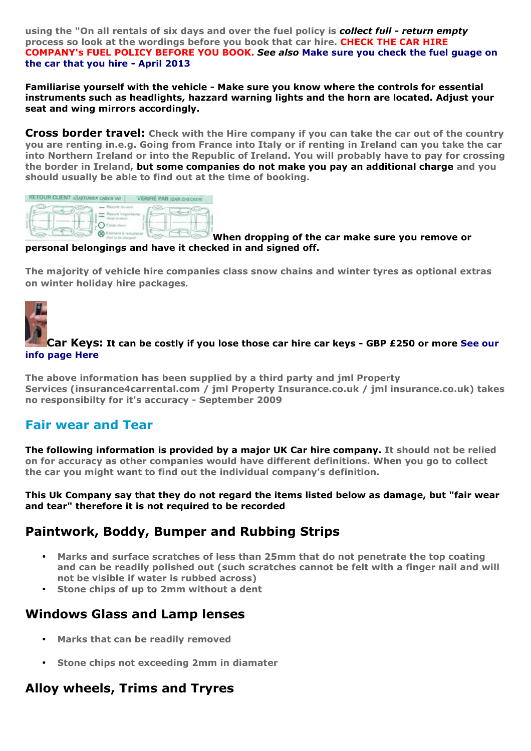**using the "On all rentals of six days and over the fuel policy is** *collect full - return empty* **process so look at the wordings before you book that car hire. CHECK THE CAR HIRE COMPANY's FUEL POLICY BEFORE YOU BOOK.** *See also* **Make sure you check the fuel guage on the car that you hire - April 2013**

**Familiarise yourself with the vehicle - Make sure you know where the controls for essential instruments such as headlights, hazzard warning lights and the horn are located. Adjust your seat and wing mirrors accordingly.**

**Cross border travel: Check with the Hire company if you can take the car out of the country you are renting in.e.g. Going from France into Italy or if renting in Ireland can you take the car into Northern Ireland or into the Republic of Ireland. You will probably have to pay for crossing the border in Ireland, but some companies do not make you pay an additional charge and you should usually be able to find out at the time of booking.**

| RETOUR CLIENT (CULTUMEN CHECK MV) | <b>VERIFIE PAR ICAR CHECKER</b> |  |
|-----------------------------------|---------------------------------|--|
|                                   |                                 |  |
|                                   |                                 |  |

#### **When dropping of the car make sure you remove or personal belongings and have it checked in and signed off.**

**The majority of vehicle hire companies class snow chains and winter tyres as optional extras on winter holiday hire packages**.



#### **Car Keys: It can be costly if you lose those car hire car keys - GBP £250 or more See our info page Here**

**The above information has been supplied by a third party and jml Property Services (insurance4carrental.com / jml Property Insurance.co.uk / jml insurance.co.uk) takes no responsibilty for it's accuracy - September 2009**

## **Fair wear and Tear**

**The following information is provided by a major UK Car hire company. It should not be relied on for accuracy as other companies would have different definitions. When you go to collect the car you might want to find out the individual company's definition.**

**This Uk Company say that they do not regard the items listed below as damage, but "fair wear and tear" therefore it is not required to be recorded**

## **Paintwork, Boddy, Bumper and Rubbing Strips**

- **Marks and surface scratches of less than 25mm that do not penetrate the top coating and can be readily polished out (such scratches cannot be felt with a finger nail and will not be visible if water is rubbed across)**
- **Stone chips of up to 2mm without a dent**

## **Windows Glass and Lamp lenses**

- **Marks that can be readily removed**
- **Stone chips not exceeding 2mm in diamater**

## **Alloy wheels, Trims and Tryres**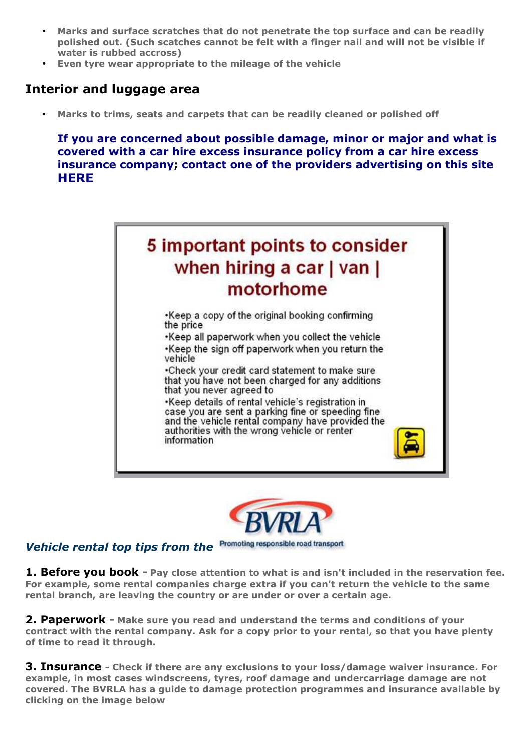- **Marks and surface scratches that do not penetrate the top surface and can be readily polished out. (Such scatches cannot be felt with a finger nail and will not be visible if water is rubbed accross)**
- **Even tyre wear appropriate to the mileage of the vehicle**

## **Interior and luggage area**

• **Marks to trims, seats and carpets that can be readily cleaned or polished off**

**If you are concerned about possible damage, minor or major and what is covered with a car hire excess insurance policy from a car hire excess insurance company; contact one of the providers advertising on this site HERE**





#### Promoting responsible road transport *Vehicle rental top tips from the*

**1. Before you book - Pay close attention to what is and isn't included in the reservation fee. For example, some rental companies charge extra if you can't return the vehicle to the same rental branch, are leaving the country or are under or over a certain age.**

**2. Paperwork - Make sure you read and understand the terms and conditions of your contract with the rental company. Ask for a copy prior to your rental, so that you have plenty of time to read it through.**

**3. Insurance - Check if there are any exclusions to your loss/damage waiver insurance. For example, in most cases windscreens, tyres, roof damage and undercarriage damage are not covered. The BVRLA has a guide to damage protection programmes and insurance available by clicking on the image below**